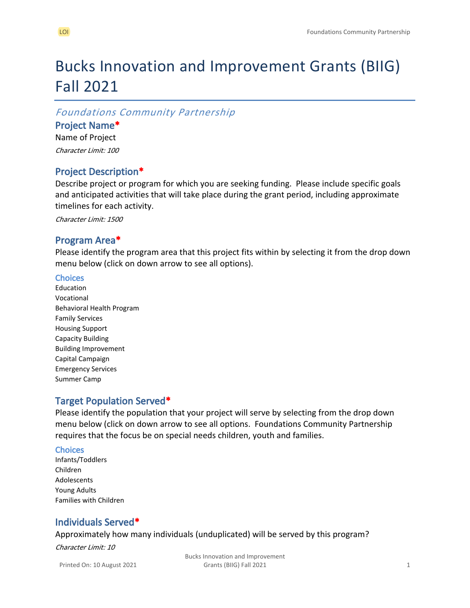## Bucks Innovation and Improvement Grants (BIIG) Fall 2021

#### *Foundations Community Partnership*

#### **Project Name\***

Name of Project *Character Limit: 100*

#### **Project Description\***

Describe project or program for which you are seeking funding. Please include specific goals and anticipated activities that will take place during the grant period, including approximate timelines for each activity.

*Character Limit: 1500*

#### **Program Area\***

Please identify the program area that this project fits within by selecting it from the drop down menu below (click on down arrow to see all options).

#### **Choices**

Education Vocational Behavioral Health Program Family Services Housing Support Capacity Building Building Improvement Capital Campaign Emergency Services Summer Camp

#### **Target Population Served\***

Please identify the population that your project will serve by selecting from the drop down menu below (click on down arrow to see all options. Foundations Community Partnership requires that the focus be on special needs children, youth and families.

#### **Choices**

Infants/Toddlers Children Adolescents Young Adults Families with Children

#### **Individuals Served\***

Approximately how many individuals (unduplicated) will be served by this program?

*Character Limit: 10*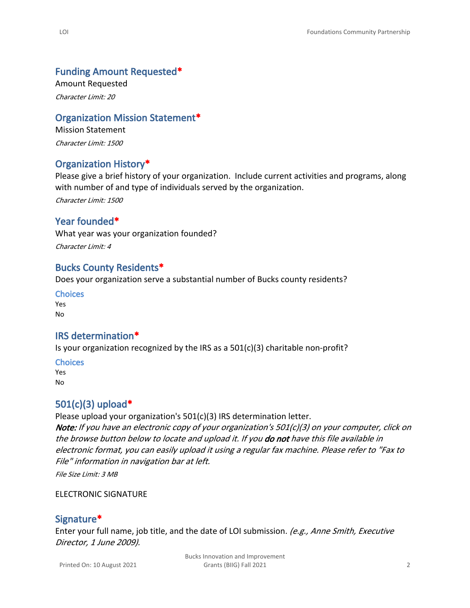#### **Funding Amount Requested\***

Amount Requested *Character Limit: 20*

#### **Organization Mission Statement\***

Mission Statement *Character Limit: 1500*

## **Organization History\***

Please give a brief history of your organization. Include current activities and programs, along with number of and type of individuals served by the organization.

*Character Limit: 1500*

#### **Year founded\***

What year was your organization founded?

*Character Limit: 4*

#### **Bucks County Residents\***

Does your organization serve a substantial number of Bucks county residents?

**Choices** Yes No

#### **IRS determination\***

Is your organization recognized by the IRS as a 501(c)(3) charitable non-profit?

#### **Choices**

Yes No

#### **501(c)(3) upload\***

Please upload your organization's 501(c)(3) IRS determination letter. *Note: If you have an electronic copy of your organization's 501(c)(3) on your computer, click on the browse button below to locate and upload it. If you do not have this file available in electronic format, you can easily upload it using a regular fax machine. Please refer to "Fax to File" information in navigation bar at left.*

*File Size Limit: 3 MB*

#### ELECTRONIC SIGNATURE

#### **Signature\***

Enter your full name, job title, and the date of LOI submission. *(e.g., Anne Smith, Executive Director, 1 June 2009).*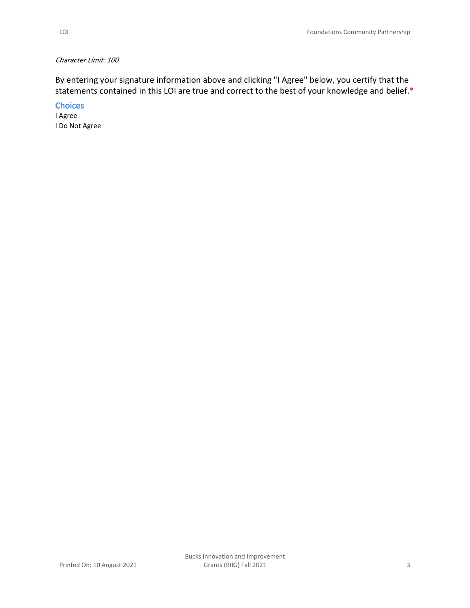#### *Character Limit: 100*

By entering your signature information above and clicking "I Agree" below, you certify that the statements contained in this LOI are true and correct to the best of your knowledge and belief.\*

**Choices**

I Agree I Do Not Agree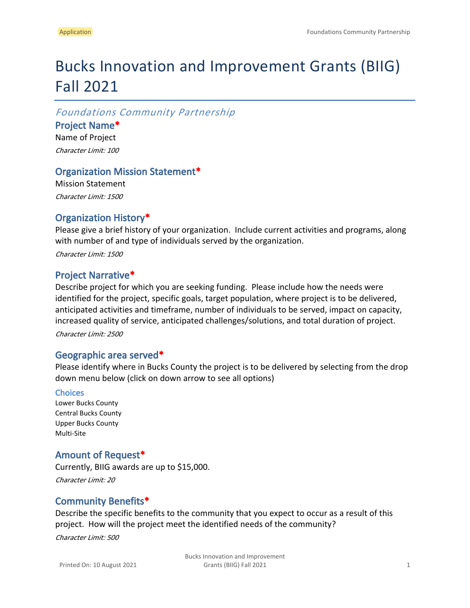# Bucks Innovation and Improvement Grants (BIIG) Fall 2021

*Foundations Community Partnership*

**Project Name\*** Name of Project

*Character Limit: 100*

## **Organization Mission Statement\***

Mission Statement *Character Limit: 1500*

## **Organization History\***

Please give a brief history of your organization. Include current activities and programs, along with number of and type of individuals served by the organization.

*Character Limit: 1500*

## **Project Narrative\***

Describe project for which you are seeking funding. Please include how the needs were identified for the project, specific goals, target population, where project is to be delivered, anticipated activities and timeframe, number of individuals to be served, impact on capacity, increased quality of service, anticipated challenges/solutions, and total duration of project.

*Character Limit: 2500*

#### **Geographic area served\***

Please identify where in Bucks County the project is to be delivered by selecting from the drop down menu below (click on down arrow to see all options)

#### **Choices**

Lower Bucks County Central Bucks County Upper Bucks County Multi-Site

## **Amount of Request\***

Currently, BIIG awards are up to \$15,000. *Character Limit: 20*

## **Community Benefits\***

Describe the specific benefits to the community that you expect to occur as a result of this project. How will the project meet the identified needs of the community?

*Character Limit: 500*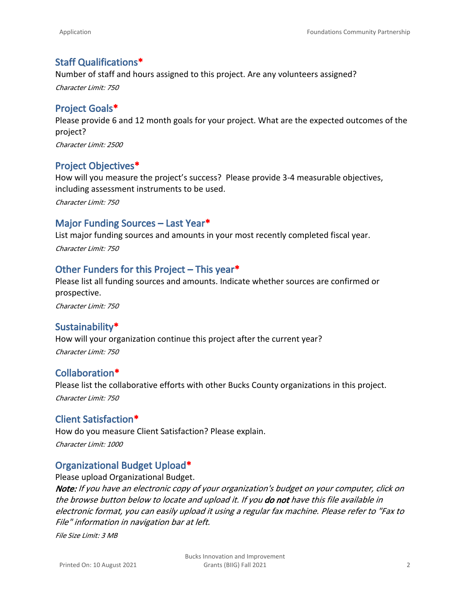## **Staff Qualifications\***

Number of staff and hours assigned to this project. Are any volunteers assigned?

*Character Limit: 750*

### **Project Goals\***

Please provide 6 and 12 month goals for your project. What are the expected outcomes of the project?

*Character Limit: 2500*

## **Project Objectives\***

How will you measure the project's success? Please provide 3-4 measurable objectives, including assessment instruments to be used.

*Character Limit: 750*

## **Major Funding Sources – Last Year\***

List major funding sources and amounts in your most recently completed fiscal year. *Character Limit: 750*

#### **Other Funders for this Project – This year\***

Please list all funding sources and amounts. Indicate whether sources are confirmed or prospective.

*Character Limit: 750*

## **Sustainability\***

How will your organization continue this project after the current year? *Character Limit: 750*

## **Collaboration\***

Please list the collaborative efforts with other Bucks County organizations in this project.

*Character Limit: 750*

#### **Client Satisfaction\***

How do you measure Client Satisfaction? Please explain. *Character Limit: 1000*

## **Organizational Budget Upload\***

Please upload Organizational Budget. *Note: If you have an electronic copy of your organization's budget on your computer, click on the browse button below to locate and upload it. If you do not have this file available in electronic format, you can easily upload it using a regular fax machine. Please refer to "Fax to File" information in navigation bar at left.*

*File Size Limit: 3 MB*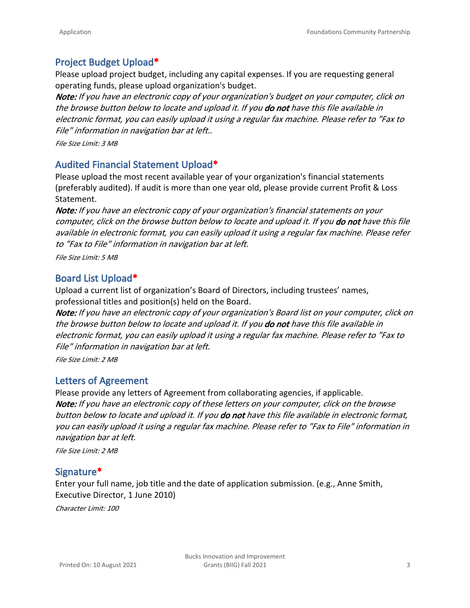## **Project Budget Upload\***

Please upload project budget, including any capital expenses. If you are requesting general operating funds, please upload organization's budget.

*Note: If you have an electronic copy of your organization's budget on your computer, click on the browse button below to locate and upload it. If you do not have this file available in electronic format, you can easily upload it using a regular fax machine. Please refer to "Fax to File" information in navigation bar at left.*.

*File Size Limit: 3 MB*

#### **Audited Financial Statement Upload\***

Please upload the most recent available year of your organization's financial statements (preferably audited). If audit is more than one year old, please provide current Profit & Loss Statement.

*Note: If you have an electronic copy of your organization's financial statements on your computer, click on the browse button below to locate and upload it. If you do not have this file available in electronic format, you can easily upload it using a regular fax machine. Please refer to "Fax to File" information in navigation bar at left.*

*File Size Limit: 5 MB*

#### **Board List Upload\***

Upload a current list of organization's Board of Directors, including trustees' names, professional titles and position(s) held on the Board.

*Note: If you have an electronic copy of your organization's Board list on your computer, click on the browse button below to locate and upload it. If you do not have this file available in electronic format, you can easily upload it using a regular fax machine. Please refer to "Fax to File" information in navigation bar at left.*

*File Size Limit: 2 MB*

#### **Letters of Agreement**

Please provide any letters of Agreement from collaborating agencies, if applicable. *Note: If you have an electronic copy of these letters on your computer, click on the browse button below to locate and upload it. If you do not have this file available in electronic format, you can easily upload it using a regular fax machine. Please refer to "Fax to File" information in navigation bar at left.*

*File Size Limit: 2 MB*

#### **Signature\***

Enter your full name, job title and the date of application submission. (e.g., Anne Smith, Executive Director, 1 June 2010)

*Character Limit: 100*